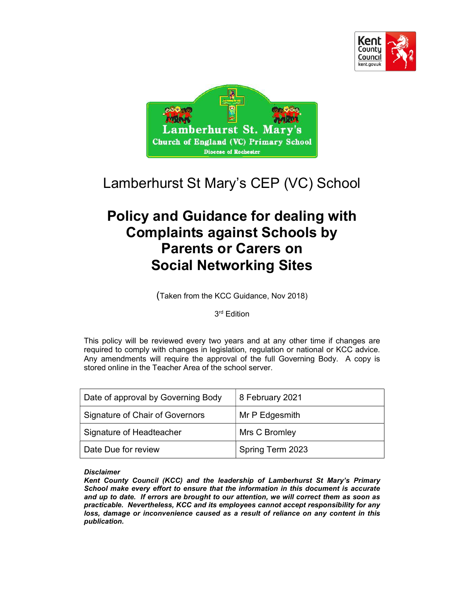



# Lamberhurst St Mary's CEP (VC) School

# Policy and Guidance for dealing with Complaints against Schools by Parents or Carers on Social Networking Sites

(Taken from the KCC Guidance, Nov 2018)

3 rd Edition

This policy will be reviewed every two years and at any other time if changes are required to comply with changes in legislation, regulation or national or KCC advice. Any amendments will require the approval of the full Governing Body. A copy is stored online in the Teacher Area of the school server.

| Date of approval by Governing Body | 8 February 2021  |
|------------------------------------|------------------|
| Signature of Chair of Governors    | Mr P Edgesmith   |
| Signature of Headteacher           | Mrs C Bromley    |
| Date Due for review                | Spring Term 2023 |

#### **Disclaimer**

Kent County Council (KCC) and the leadership of Lamberhurst St Mary's Primary School make every effort to ensure that the information in this document is accurate and up to date. If errors are brought to our attention, we will correct them as soon as practicable. Nevertheless, KCC and its employees cannot accept responsibility for any loss, damage or inconvenience caused as a result of reliance on any content in this publication.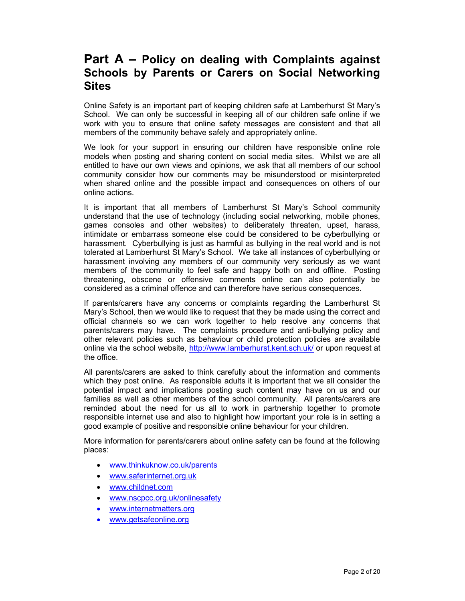## Part A – Policy on dealing with Complaints against Schools by Parents or Carers on Social Networking **Sites**

Online Safety is an important part of keeping children safe at Lamberhurst St Mary's School. We can only be successful in keeping all of our children safe online if we work with you to ensure that online safety messages are consistent and that all members of the community behave safely and appropriately online.

We look for your support in ensuring our children have responsible online role models when posting and sharing content on social media sites. Whilst we are all entitled to have our own views and opinions, we ask that all members of our school community consider how our comments may be misunderstood or misinterpreted when shared online and the possible impact and consequences on others of our online actions.

It is important that all members of Lamberhurst St Mary's School community understand that the use of technology (including social networking, mobile phones, games consoles and other websites) to deliberately threaten, upset, harass, intimidate or embarrass someone else could be considered to be cyberbullying or harassment. Cyberbullying is just as harmful as bullying in the real world and is not tolerated at Lamberhurst St Mary's School. We take all instances of cyberbullying or harassment involving any members of our community very seriously as we want members of the community to feel safe and happy both on and offline. Posting threatening, obscene or offensive comments online can also potentially be considered as a criminal offence and can therefore have serious consequences.

If parents/carers have any concerns or complaints regarding the Lamberhurst St Mary's School, then we would like to request that they be made using the correct and official channels so we can work together to help resolve any concerns that parents/carers may have. The complaints procedure and anti-bullying policy and other relevant policies such as behaviour or child protection policies are available online via the school website, http://www.lamberhurst.kent.sch.uk/ or upon request at the office.

All parents/carers are asked to think carefully about the information and comments which they post online. As responsible adults it is important that we all consider the potential impact and implications posting such content may have on us and our families as well as other members of the school community. All parents/carers are reminded about the need for us all to work in partnership together to promote responsible internet use and also to highlight how important your role is in setting a good example of positive and responsible online behaviour for your children.

More information for parents/carers about online safety can be found at the following places:

- www.thinkuknow.co.uk/parents
- www.saferinternet.org.uk
- www.childnet.com
- www.nscpcc.org.uk/onlinesafety
- www.internetmatters.org
- www.getsafeonline.org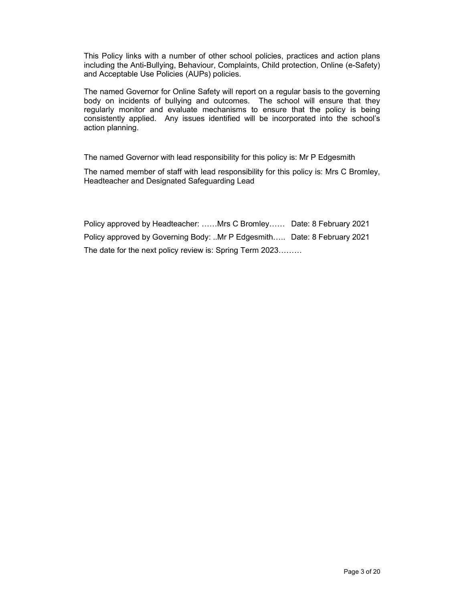This Policy links with a number of other school policies, practices and action plans including the Anti-Bullying, Behaviour, Complaints, Child protection, Online (e-Safety) and Acceptable Use Policies (AUPs) policies.

The named Governor for Online Safety will report on a regular basis to the governing body on incidents of bullying and outcomes. The school will ensure that they regularly monitor and evaluate mechanisms to ensure that the policy is being consistently applied. Any issues identified will be incorporated into the school's action planning.

The named Governor with lead responsibility for this policy is: Mr P Edgesmith

The named member of staff with lead responsibility for this policy is: Mrs C Bromley, Headteacher and Designated Safeguarding Lead

Policy approved by Headteacher: ……Mrs C Bromley…… Date: 8 February 2021 Policy approved by Governing Body: ..Mr P Edgesmith….. Date: 8 February 2021 The date for the next policy review is: Spring Term 2023………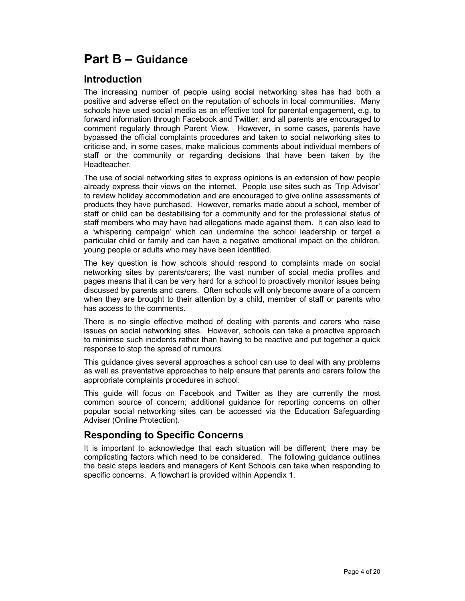## Part B – Guidance

## Introduction

The increasing number of people using social networking sites has had both a positive and adverse effect on the reputation of schools in local communities. Many schools have used social media as an effective tool for parental engagement, e.g. to forward information through Facebook and Twitter, and all parents are encouraged to comment regularly through Parent View. However, in some cases, parents have bypassed the official complaints procedures and taken to social networking sites to criticise and, in some cases, make malicious comments about individual members of staff or the community or regarding decisions that have been taken by the Headteacher.

The use of social networking sites to express opinions is an extension of how people already express their views on the internet. People use sites such as 'Trip Advisor' to review holiday accommodation and are encouraged to give online assessments of products they have purchased. However, remarks made about a school, member of staff or child can be destabilising for a community and for the professional status of staff members who may have had allegations made against them. It can also lead to a 'whispering campaign' which can undermine the school leadership or target a particular child or family and can have a negative emotional impact on the children, young people or adults who may have been identified.

The key question is how schools should respond to complaints made on social networking sites by parents/carers; the vast number of social media profiles and pages means that it can be very hard for a school to proactively monitor issues being discussed by parents and carers. Often schools will only become aware of a concern when they are brought to their attention by a child, member of staff or parents who has access to the comments.

There is no single effective method of dealing with parents and carers who raise issues on social networking sites. However, schools can take a proactive approach to minimise such incidents rather than having to be reactive and put together a quick response to stop the spread of rumours.

This guidance gives several approaches a school can use to deal with any problems as well as preventative approaches to help ensure that parents and carers follow the appropriate complaints procedures in school.

This guide will focus on Facebook and Twitter as they are currently the most common source of concern; additional guidance for reporting concerns on other popular social networking sites can be accessed via the Education Safeguarding Adviser (Online Protection).

## Responding to Specific Concerns

It is important to acknowledge that each situation will be different; there may be complicating factors which need to be considered. The following guidance outlines the basic steps leaders and managers of Kent Schools can take when responding to specific concerns. A flowchart is provided within Appendix 1.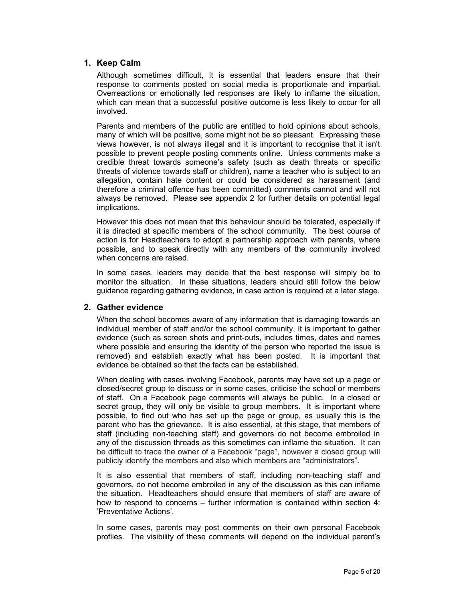#### 1. Keep Calm

Although sometimes difficult, it is essential that leaders ensure that their response to comments posted on social media is proportionate and impartial. Overreactions or emotionally led responses are likely to inflame the situation, which can mean that a successful positive outcome is less likely to occur for all involved.

Parents and members of the public are entitled to hold opinions about schools, many of which will be positive, some might not be so pleasant. Expressing these views however, is not always illegal and it is important to recognise that it isn't possible to prevent people posting comments online. Unless comments make a credible threat towards someone's safety (such as death threats or specific threats of violence towards staff or children), name a teacher who is subject to an allegation, contain hate content or could be considered as harassment (and therefore a criminal offence has been committed) comments cannot and will not always be removed. Please see appendix 2 for further details on potential legal implications.

However this does not mean that this behaviour should be tolerated, especially if it is directed at specific members of the school community. The best course of action is for Headteachers to adopt a partnership approach with parents, where possible, and to speak directly with any members of the community involved when concerns are raised.

In some cases, leaders may decide that the best response will simply be to monitor the situation. In these situations, leaders should still follow the below guidance regarding gathering evidence, in case action is required at a later stage.

#### 2. Gather evidence

When the school becomes aware of any information that is damaging towards an individual member of staff and/or the school community, it is important to gather evidence (such as screen shots and print-outs, includes times, dates and names where possible and ensuring the identity of the person who reported the issue is removed) and establish exactly what has been posted. It is important that evidence be obtained so that the facts can be established.

When dealing with cases involving Facebook, parents may have set up a page or closed/secret group to discuss or in some cases, criticise the school or members of staff. On a Facebook page comments will always be public. In a closed or secret group, they will only be visible to group members. It is important where possible, to find out who has set up the page or group, as usually this is the parent who has the grievance. It is also essential, at this stage, that members of staff (including non-teaching staff) and governors do not become embroiled in any of the discussion threads as this sometimes can inflame the situation. It can be difficult to trace the owner of a Facebook "page", however a closed group will publicly identify the members and also which members are "administrators".

It is also essential that members of staff, including non-teaching staff and governors, do not become embroiled in any of the discussion as this can inflame the situation. Headteachers should ensure that members of staff are aware of how to respond to concerns – further information is contained within section 4: 'Preventative Actions'.

In some cases, parents may post comments on their own personal Facebook profiles. The visibility of these comments will depend on the individual parent's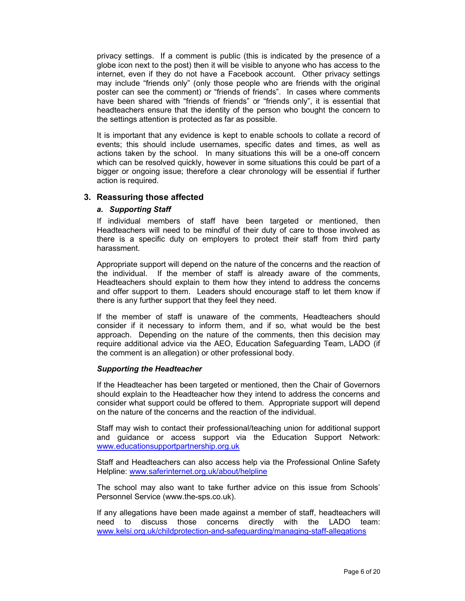privacy settings. If a comment is public (this is indicated by the presence of a globe icon next to the post) then it will be visible to anyone who has access to the internet, even if they do not have a Facebook account. Other privacy settings may include "friends only" (only those people who are friends with the original poster can see the comment) or "friends of friends". In cases where comments have been shared with "friends of friends" or "friends only", it is essential that headteachers ensure that the identity of the person who bought the concern to the settings attention is protected as far as possible.

It is important that any evidence is kept to enable schools to collate a record of events; this should include usernames, specific dates and times, as well as actions taken by the school. In many situations this will be a one-off concern which can be resolved quickly, however in some situations this could be part of a bigger or ongoing issue; therefore a clear chronology will be essential if further action is required.

#### 3. Reassuring those affected

#### a. Supporting Staff

If individual members of staff have been targeted or mentioned, then Headteachers will need to be mindful of their duty of care to those involved as there is a specific duty on employers to protect their staff from third party harassment.

Appropriate support will depend on the nature of the concerns and the reaction of the individual. If the member of staff is already aware of the comments, Headteachers should explain to them how they intend to address the concerns and offer support to them. Leaders should encourage staff to let them know if there is any further support that they feel they need.

If the member of staff is unaware of the comments, Headteachers should consider if it necessary to inform them, and if so, what would be the best approach. Depending on the nature of the comments, then this decision may require additional advice via the AEO, Education Safeguarding Team, LADO (if the comment is an allegation) or other professional body.

#### Supporting the Headteacher

If the Headteacher has been targeted or mentioned, then the Chair of Governors should explain to the Headteacher how they intend to address the concerns and consider what support could be offered to them. Appropriate support will depend on the nature of the concerns and the reaction of the individual.

Staff may wish to contact their professional/teaching union for additional support and guidance or access support via the Education Support Network: www.educationsupportpartnership.org.uk

Staff and Headteachers can also access help via the Professional Online Safety Helpline: www.saferinternet.org.uk/about/helpline

The school may also want to take further advice on this issue from Schools' Personnel Service (www.the-sps.co.uk).

If any allegations have been made against a member of staff, headteachers will need to discuss those concerns directly with the LADO team: www.kelsi.org.uk/childprotection-and-safeguarding/managing-staff-allegations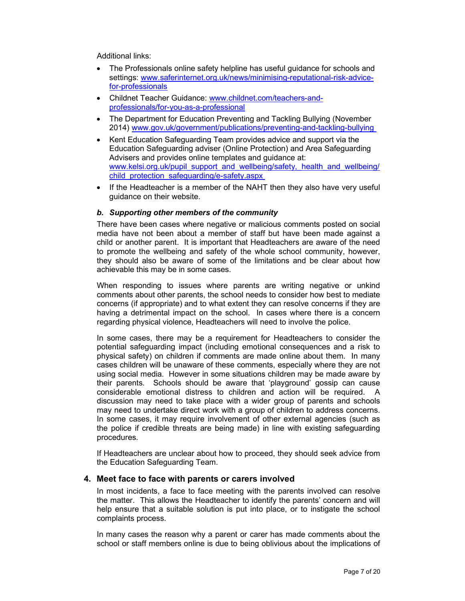Additional links:

- The Professionals online safety helpline has useful guidance for schools and settings: www.saferinternet.org.uk/news/minimising-reputational-risk-advicefor-professionals
- Childnet Teacher Guidance: www.childnet.com/teachers-andprofessionals/for-you-as-a-professional
- The Department for Education Preventing and Tackling Bullying (November 2014) www.gov.uk/government/publications/preventing-and-tackling-bullying
- Kent Education Safeguarding Team provides advice and support via the Education Safeguarding adviser (Online Protection) and Area Safeguarding Advisers and provides online templates and guidance at: www.kelsi.org.uk/pupil\_support\_and\_wellbeing/safety,\_health\_and\_wellbeing/ child\_protection\_safequarding/e-safety.aspx
- If the Headteacher is a member of the NAHT then they also have very useful guidance on their website.

#### b. Supporting other members of the community

There have been cases where negative or malicious comments posted on social media have not been about a member of staff but have been made against a child or another parent. It is important that Headteachers are aware of the need to promote the wellbeing and safety of the whole school community, however, they should also be aware of some of the limitations and be clear about how achievable this may be in some cases.

When responding to issues where parents are writing negative or unkind comments about other parents, the school needs to consider how best to mediate concerns (if appropriate) and to what extent they can resolve concerns if they are having a detrimental impact on the school. In cases where there is a concern regarding physical violence, Headteachers will need to involve the police.

In some cases, there may be a requirement for Headteachers to consider the potential safeguarding impact (including emotional consequences and a risk to physical safety) on children if comments are made online about them. In many cases children will be unaware of these comments, especially where they are not using social media. However in some situations children may be made aware by their parents. Schools should be aware that 'playground' gossip can cause considerable emotional distress to children and action will be required. A discussion may need to take place with a wider group of parents and schools may need to undertake direct work with a group of children to address concerns. In some cases, it may require involvement of other external agencies (such as the police if credible threats are being made) in line with existing safeguarding procedures.

If Headteachers are unclear about how to proceed, they should seek advice from the Education Safeguarding Team.

#### 4. Meet face to face with parents or carers involved

In most incidents, a face to face meeting with the parents involved can resolve the matter. This allows the Headteacher to identify the parents' concern and will help ensure that a suitable solution is put into place, or to instigate the school complaints process.

In many cases the reason why a parent or carer has made comments about the school or staff members online is due to being oblivious about the implications of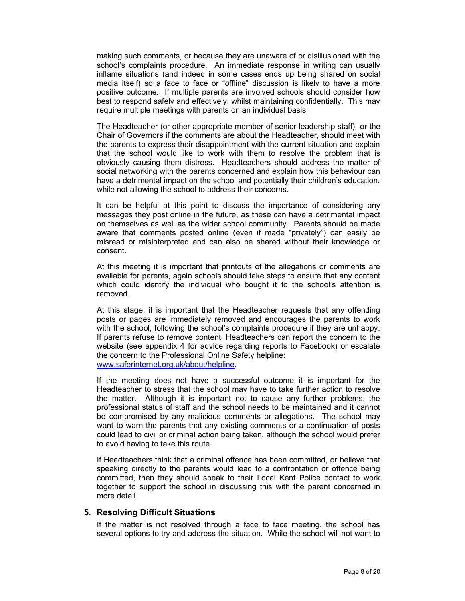making such comments, or because they are unaware of or disillusioned with the school's complaints procedure. An immediate response in writing can usually inflame situations (and indeed in some cases ends up being shared on social media itself) so a face to face or "offline" discussion is likely to have a more positive outcome. If multiple parents are involved schools should consider how best to respond safely and effectively, whilst maintaining confidentially. This may require multiple meetings with parents on an individual basis.

The Headteacher (or other appropriate member of senior leadership staff), or the Chair of Governors if the comments are about the Headteacher, should meet with the parents to express their disappointment with the current situation and explain that the school would like to work with them to resolve the problem that is obviously causing them distress. Headteachers should address the matter of social networking with the parents concerned and explain how this behaviour can have a detrimental impact on the school and potentially their children's education, while not allowing the school to address their concerns.

It can be helpful at this point to discuss the importance of considering any messages they post online in the future, as these can have a detrimental impact on themselves as well as the wider school community. Parents should be made aware that comments posted online (even if made "privately") can easily be misread or misinterpreted and can also be shared without their knowledge or consent.

At this meeting it is important that printouts of the allegations or comments are available for parents, again schools should take steps to ensure that any content which could identify the individual who bought it to the school's attention is removed.

At this stage, it is important that the Headteacher requests that any offending posts or pages are immediately removed and encourages the parents to work with the school, following the school's complaints procedure if they are unhappy. If parents refuse to remove content, Headteachers can report the concern to the website (see appendix 4 for advice regarding reports to Facebook) or escalate the concern to the Professional Online Safety helpline: www.saferinternet.org.uk/about/helpline.

If the meeting does not have a successful outcome it is important for the Headteacher to stress that the school may have to take further action to resolve the matter. Although it is important not to cause any further problems, the professional status of staff and the school needs to be maintained and it cannot be compromised by any malicious comments or allegations. The school may want to warn the parents that any existing comments or a continuation of posts could lead to civil or criminal action being taken, although the school would prefer to avoid having to take this route.

If Headteachers think that a criminal offence has been committed, or believe that speaking directly to the parents would lead to a confrontation or offence being committed, then they should speak to their Local Kent Police contact to work together to support the school in discussing this with the parent concerned in more detail.

#### 5. Resolving Difficult Situations

If the matter is not resolved through a face to face meeting, the school has several options to try and address the situation. While the school will not want to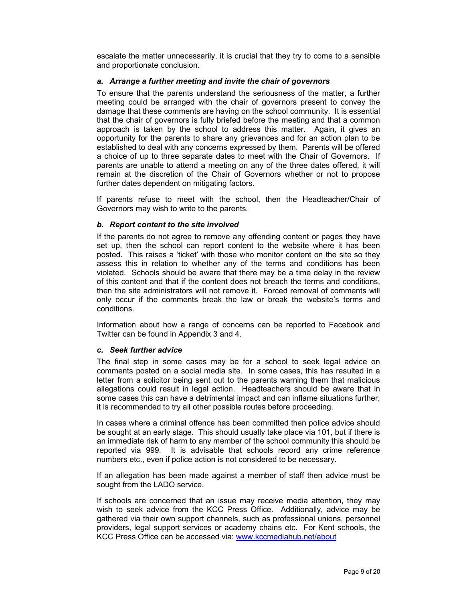escalate the matter unnecessarily, it is crucial that they try to come to a sensible and proportionate conclusion.

#### a. Arrange a further meeting and invite the chair of governors

To ensure that the parents understand the seriousness of the matter, a further meeting could be arranged with the chair of governors present to convey the damage that these comments are having on the school community. It is essential that the chair of governors is fully briefed before the meeting and that a common approach is taken by the school to address this matter. Again, it gives an opportunity for the parents to share any grievances and for an action plan to be established to deal with any concerns expressed by them. Parents will be offered a choice of up to three separate dates to meet with the Chair of Governors. If parents are unable to attend a meeting on any of the three dates offered, it will remain at the discretion of the Chair of Governors whether or not to propose further dates dependent on mitigating factors.

If parents refuse to meet with the school, then the Headteacher/Chair of Governors may wish to write to the parents.

#### b. Report content to the site involved

If the parents do not agree to remove any offending content or pages they have set up, then the school can report content to the website where it has been posted. This raises a 'ticket' with those who monitor content on the site so they assess this in relation to whether any of the terms and conditions has been violated. Schools should be aware that there may be a time delay in the review of this content and that if the content does not breach the terms and conditions, then the site administrators will not remove it. Forced removal of comments will only occur if the comments break the law or break the website's terms and conditions.

Information about how a range of concerns can be reported to Facebook and Twitter can be found in Appendix 3 and 4.

#### c. Seek further advice

The final step in some cases may be for a school to seek legal advice on comments posted on a social media site. In some cases, this has resulted in a letter from a solicitor being sent out to the parents warning them that malicious allegations could result in legal action. Headteachers should be aware that in some cases this can have a detrimental impact and can inflame situations further; it is recommended to try all other possible routes before proceeding.

In cases where a criminal offence has been committed then police advice should be sought at an early stage. This should usually take place via 101, but if there is an immediate risk of harm to any member of the school community this should be reported via 999. It is advisable that schools record any crime reference numbers etc., even if police action is not considered to be necessary.

If an allegation has been made against a member of staff then advice must be sought from the LADO service.

If schools are concerned that an issue may receive media attention, they may wish to seek advice from the KCC Press Office. Additionally, advice may be gathered via their own support channels, such as professional unions, personnel providers, legal support services or academy chains etc. For Kent schools, the KCC Press Office can be accessed via: www.kccmediahub.net/about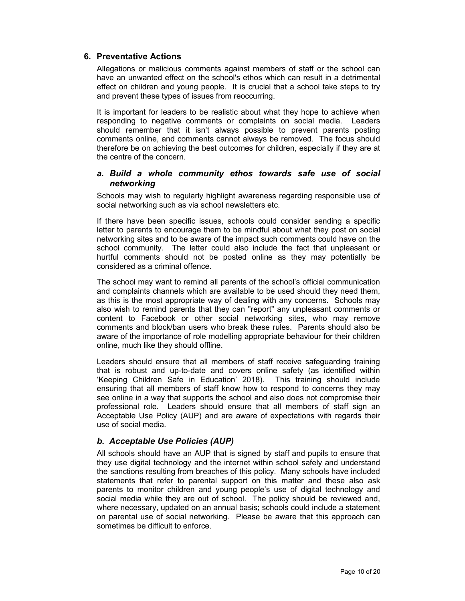#### 6. Preventative Actions

Allegations or malicious comments against members of staff or the school can have an unwanted effect on the school's ethos which can result in a detrimental effect on children and young people. It is crucial that a school take steps to try and prevent these types of issues from reoccurring.

It is important for leaders to be realistic about what they hope to achieve when responding to negative comments or complaints on social media. Leaders should remember that it isn't always possible to prevent parents posting comments online, and comments cannot always be removed. The focus should therefore be on achieving the best outcomes for children, especially if they are at the centre of the concern.

#### a. Build a whole community ethos towards safe use of social networking

Schools may wish to regularly highlight awareness regarding responsible use of social networking such as via school newsletters etc.

If there have been specific issues, schools could consider sending a specific letter to parents to encourage them to be mindful about what they post on social networking sites and to be aware of the impact such comments could have on the school community. The letter could also include the fact that unpleasant or hurtful comments should not be posted online as they may potentially be considered as a criminal offence.

The school may want to remind all parents of the school's official communication and complaints channels which are available to be used should they need them, as this is the most appropriate way of dealing with any concerns. Schools may also wish to remind parents that they can "report" any unpleasant comments or content to Facebook or other social networking sites, who may remove comments and block/ban users who break these rules. Parents should also be aware of the importance of role modelling appropriate behaviour for their children online, much like they should offline.

Leaders should ensure that all members of staff receive safeguarding training that is robust and up-to-date and covers online safety (as identified within 'Keeping Children Safe in Education' 2018). This training should include ensuring that all members of staff know how to respond to concerns they may see online in a way that supports the school and also does not compromise their professional role. Leaders should ensure that all members of staff sign an Acceptable Use Policy (AUP) and are aware of expectations with regards their use of social media.

#### b. Acceptable Use Policies (AUP)

All schools should have an AUP that is signed by staff and pupils to ensure that they use digital technology and the internet within school safely and understand the sanctions resulting from breaches of this policy. Many schools have included statements that refer to parental support on this matter and these also ask parents to monitor children and young people's use of digital technology and social media while they are out of school. The policy should be reviewed and, where necessary, updated on an annual basis; schools could include a statement on parental use of social networking. Please be aware that this approach can sometimes be difficult to enforce.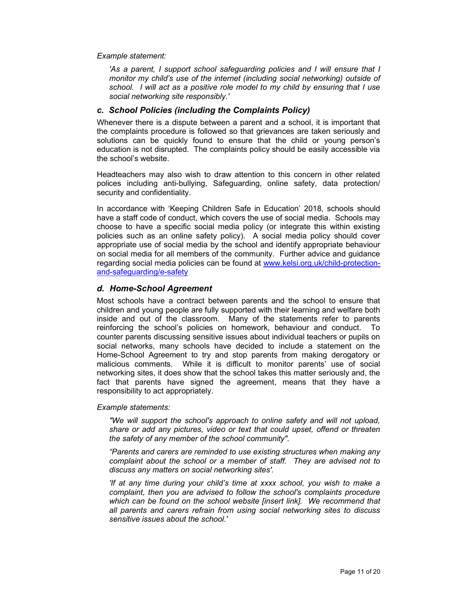Example statement:

'As a parent, I support school safeguarding policies and I will ensure that I monitor my child's use of the internet (including social networking) outside of school. I will act as a positive role model to my child by ensuring that I use social networking site responsibly.'

#### c. School Policies (including the Complaints Policy)

Whenever there is a dispute between a parent and a school, it is important that the complaints procedure is followed so that grievances are taken seriously and solutions can be quickly found to ensure that the child or young person's education is not disrupted. The complaints policy should be easily accessible via the school's website.

Headteachers may also wish to draw attention to this concern in other related polices including anti-bullying, Safeguarding, online safety, data protection/ security and confidentiality.

In accordance with 'Keeping Children Safe in Education' 2018, schools should have a staff code of conduct, which covers the use of social media. Schools may choose to have a specific social media policy (or integrate this within existing policies such as an online safety policy). A social media policy should cover appropriate use of social media by the school and identify appropriate behaviour on social media for all members of the community. Further advice and guidance regarding social media policies can be found at www.kelsi.org.uk/child-protectionand-safeguarding/e-safety

#### d. Home-School Agreement

Most schools have a contract between parents and the school to ensure that children and young people are fully supported with their learning and welfare both inside and out of the classroom. Many of the statements refer to parents reinforcing the school's policies on homework, behaviour and conduct. To counter parents discussing sensitive issues about individual teachers or pupils on social networks, many schools have decided to include a statement on the Home-School Agreement to try and stop parents from making derogatory or malicious comments. While it is difficult to monitor parents' use of social networking sites, it does show that the school takes this matter seriously and, the fact that parents have signed the agreement, means that they have a responsibility to act appropriately.

Example statements:

"We will support the school's approach to online safety and will not upload, share or add any pictures, video or text that could upset, offend or threaten the safety of any member of the school community".

"Parents and carers are reminded to use existing structures when making any complaint about the school or a member of staff. They are advised not to discuss any matters on social networking sites'.

'If at any time during your child's time at xxxx school, you wish to make a complaint, then you are advised to follow the school's complaints procedure which can be found on the school website [insert link]. We recommend that all parents and carers refrain from using social networking sites to discuss sensitive issues about the school.'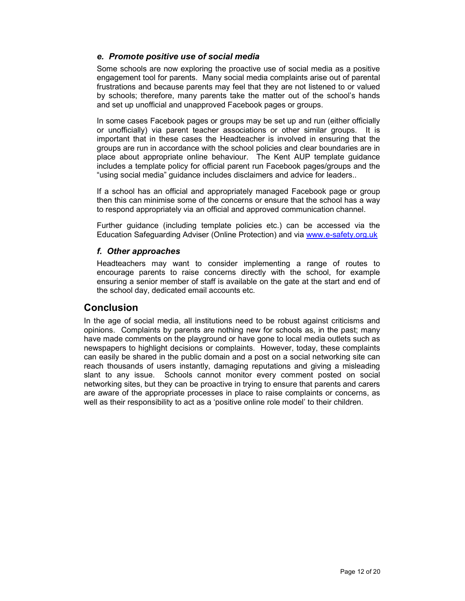#### e. Promote positive use of social media

Some schools are now exploring the proactive use of social media as a positive engagement tool for parents. Many social media complaints arise out of parental frustrations and because parents may feel that they are not listened to or valued by schools; therefore, many parents take the matter out of the school's hands and set up unofficial and unapproved Facebook pages or groups.

In some cases Facebook pages or groups may be set up and run (either officially or unofficially) via parent teacher associations or other similar groups. It is important that in these cases the Headteacher is involved in ensuring that the groups are run in accordance with the school policies and clear boundaries are in place about appropriate online behaviour. The Kent AUP template guidance includes a template policy for official parent run Facebook pages/groups and the "using social media" guidance includes disclaimers and advice for leaders..

If a school has an official and appropriately managed Facebook page or group then this can minimise some of the concerns or ensure that the school has a way to respond appropriately via an official and approved communication channel.

Further guidance (including template policies etc.) can be accessed via the Education Safeguarding Adviser (Online Protection) and via www.e-safety.org.uk

#### f. Other approaches

Headteachers may want to consider implementing a range of routes to encourage parents to raise concerns directly with the school, for example ensuring a senior member of staff is available on the gate at the start and end of the school day, dedicated email accounts etc.

### **Conclusion**

In the age of social media, all institutions need to be robust against criticisms and opinions. Complaints by parents are nothing new for schools as, in the past; many have made comments on the playground or have gone to local media outlets such as newspapers to highlight decisions or complaints. However, today, these complaints can easily be shared in the public domain and a post on a social networking site can reach thousands of users instantly, damaging reputations and giving a misleading slant to any issue. Schools cannot monitor every comment posted on social networking sites, but they can be proactive in trying to ensure that parents and carers are aware of the appropriate processes in place to raise complaints or concerns, as well as their responsibility to act as a 'positive online role model' to their children.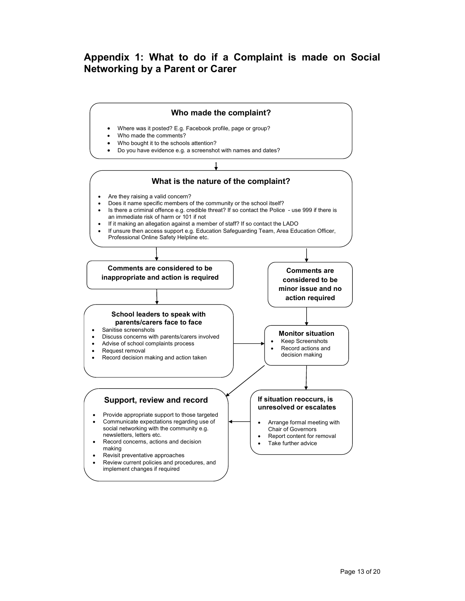## Appendix 1: What to do if a Complaint is made on Social Networking by a Parent or Carer

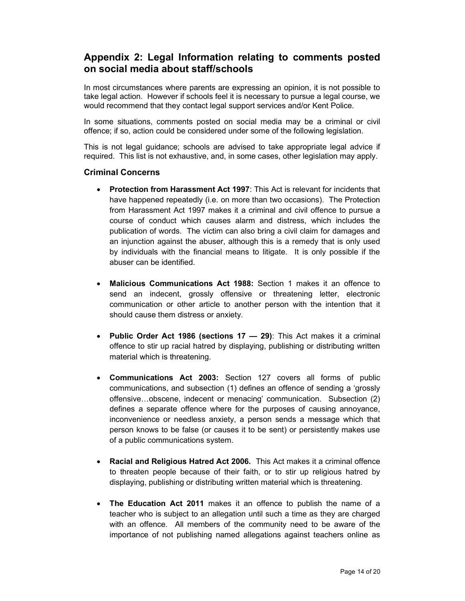## Appendix 2: Legal Information relating to comments posted on social media about staff/schools

In most circumstances where parents are expressing an opinion, it is not possible to take legal action. However if schools feel it is necessary to pursue a legal course, we would recommend that they contact legal support services and/or Kent Police.

In some situations, comments posted on social media may be a criminal or civil offence; if so, action could be considered under some of the following legislation.

This is not legal guidance; schools are advised to take appropriate legal advice if required. This list is not exhaustive, and, in some cases, other legislation may apply.

#### Criminal Concerns

- Protection from Harassment Act 1997: This Act is relevant for incidents that have happened repeatedly (i.e. on more than two occasions). The Protection from Harassment Act 1997 makes it a criminal and civil offence to pursue a course of conduct which causes alarm and distress, which includes the publication of words. The victim can also bring a civil claim for damages and an injunction against the abuser, although this is a remedy that is only used by individuals with the financial means to litigate. It is only possible if the abuser can be identified.
- Malicious Communications Act 1988: Section 1 makes it an offence to send an indecent, grossly offensive or threatening letter, electronic communication or other article to another person with the intention that it should cause them distress or anxiety.
- Public Order Act 1986 (sections  $17 29$ ): This Act makes it a criminal offence to stir up racial hatred by displaying, publishing or distributing written material which is threatening.
- Communications Act 2003: Section 127 covers all forms of public communications, and subsection (1) defines an offence of sending a 'grossly offensive…obscene, indecent or menacing' communication. Subsection (2) defines a separate offence where for the purposes of causing annoyance, inconvenience or needless anxiety, a person sends a message which that person knows to be false (or causes it to be sent) or persistently makes use of a public communications system.
- Racial and Religious Hatred Act 2006. This Act makes it a criminal offence to threaten people because of their faith, or to stir up religious hatred by displaying, publishing or distributing written material which is threatening.
- The Education Act 2011 makes it an offence to publish the name of a teacher who is subject to an allegation until such a time as they are charged with an offence. All members of the community need to be aware of the importance of not publishing named allegations against teachers online as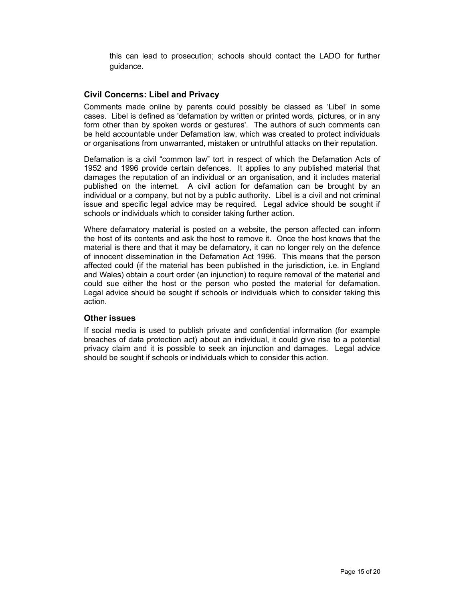this can lead to prosecution; schools should contact the LADO for further guidance.

#### Civil Concerns: Libel and Privacy

Comments made online by parents could possibly be classed as 'Libel' in some cases. Libel is defined as 'defamation by written or printed words, pictures, or in any form other than by spoken words or gestures'. The authors of such comments can be held accountable under Defamation law, which was created to protect individuals or organisations from unwarranted, mistaken or untruthful attacks on their reputation.

Defamation is a civil "common law" tort in respect of which the Defamation Acts of 1952 and 1996 provide certain defences. It applies to any published material that damages the reputation of an individual or an organisation, and it includes material published on the internet. A civil action for defamation can be brought by an individual or a company, but not by a public authority. Libel is a civil and not criminal issue and specific legal advice may be required. Legal advice should be sought if schools or individuals which to consider taking further action.

Where defamatory material is posted on a website, the person affected can inform the host of its contents and ask the host to remove it. Once the host knows that the material is there and that it may be defamatory, it can no longer rely on the defence of innocent dissemination in the Defamation Act 1996. This means that the person affected could (if the material has been published in the jurisdiction, i.e. in England and Wales) obtain a court order (an injunction) to require removal of the material and could sue either the host or the person who posted the material for defamation. Legal advice should be sought if schools or individuals which to consider taking this action.

#### Other issues

If social media is used to publish private and confidential information (for example breaches of data protection act) about an individual, it could give rise to a potential privacy claim and it is possible to seek an injunction and damages. Legal advice should be sought if schools or individuals which to consider this action.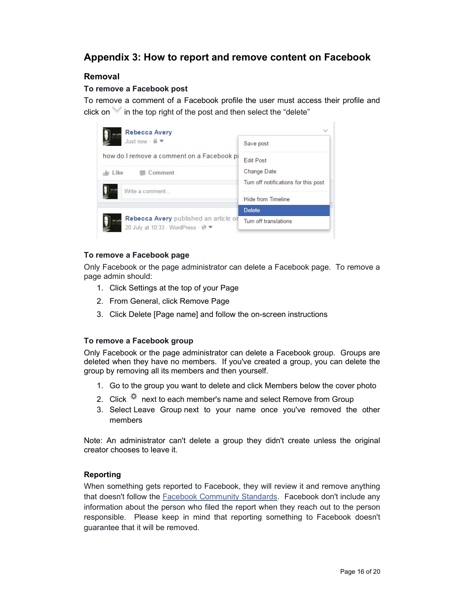## Appendix 3: How to report and remove content on Facebook

#### Removal

#### To remove a Facebook post

To remove a comment of a Facebook profile the user must access their profile and click on in the top right of the post and then select the "delete"



#### To remove a Facebook page

Only Facebook or the page administrator can delete a Facebook page. To remove a page admin should:

- 1. Click Settings at the top of your Page
- 2. From General, click Remove Page
- 3. Click Delete [Page name] and follow the on-screen instructions

#### To remove a Facebook group

Only Facebook or the page administrator can delete a Facebook group. Groups are deleted when they have no members. If you've created a group, you can delete the group by removing all its members and then yourself.

- 1. Go to the group you want to delete and click Members below the cover photo
- 2. Click  $\Phi$  next to each member's name and select Remove from Group
- 3. Select Leave Group next to your name once you've removed the other members

Note: An administrator can't delete a group they didn't create unless the original creator chooses to leave it.

#### Reporting

When something gets reported to Facebook, they will review it and remove anything that doesn't follow the **Facebook Community Standards**. Facebook don't include any information about the person who filed the report when they reach out to the person responsible. Please keep in mind that reporting something to Facebook doesn't guarantee that it will be removed.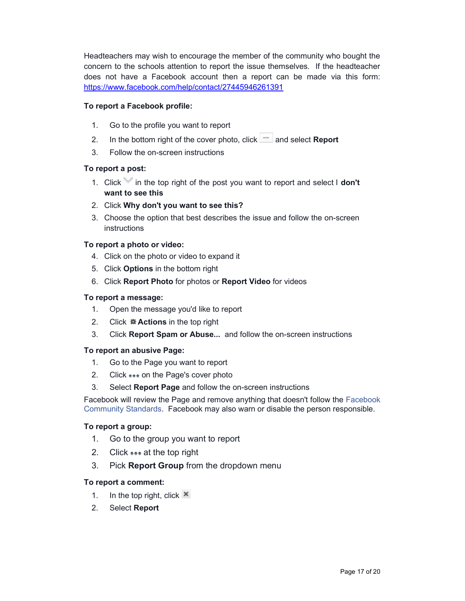Headteachers may wish to encourage the member of the community who bought the concern to the schools attention to report the issue themselves. If the headteacher does not have a Facebook account then a report can be made via this form: https://www.facebook.com/help/contact/27445946261391

#### To report a Facebook profile:

- 1. Go to the profile you want to report
- 2. In the bottom right of the cover photo, click  $\mathbb{R}$  and select **Report**
- 3. Follow the on-screen instructions

#### To report a post:

- 1. Click in the top right of the post you want to report and select I don't want to see this
- 2. Click Why don't you want to see this?
- 3. Choose the option that best describes the issue and follow the on-screen instructions

#### To report a photo or video:

- 4. Click on the photo or video to expand it
- 5. Click Options in the bottom right
- 6. Click Report Photo for photos or Report Video for videos

#### To report a message:

- 1. Open the message you'd like to report
- 2. Click ※ Actions in the top right
- 3. Click Report Spam or Abuse... and follow the on-screen instructions

#### To report an abusive Page:

- 1. Go to the Page you want to report
- 2. Click ... on the Page's cover photo
- 3. Select Report Page and follow the on-screen instructions

Facebook will review the Page and remove anything that doesn't follow the Facebook Community Standards. Facebook may also warn or disable the person responsible.

#### To report a group:

- 1. Go to the group you want to report
- 2. Click ... at the top right
- 3. Pick **Report Group** from the dropdown menu

#### To report a comment:

- 1. In the top right, click  $\mathbf{\times}$
- 2. Select Report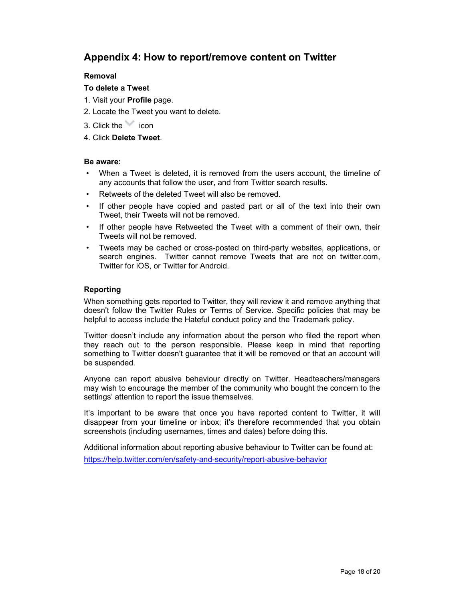## Appendix 4: How to report/remove content on Twitter

#### Removal

#### To delete a Tweet

- 1. Visit your Profile page.
- 2. Locate the Tweet you want to delete.
- 3. Click the icon
- 4. Click Delete Tweet.

#### Be aware:

- When a Tweet is deleted, it is removed from the users account, the timeline of any accounts that follow the user, and from Twitter search results.
- Retweets of the deleted Tweet will also be removed.
- If other people have copied and pasted part or all of the text into their own Tweet, their Tweets will not be removed.
- If other people have Retweeted the Tweet with a comment of their own, their Tweets will not be removed.
- Tweets may be cached or cross-posted on third-party websites, applications, or search engines. Twitter cannot remove Tweets that are not on twitter.com, Twitter for iOS, or Twitter for Android.

#### Reporting

When something gets reported to Twitter, they will review it and remove anything that doesn't follow the Twitter Rules or Terms of Service. Specific policies that may be helpful to access include the Hateful conduct policy and the Trademark policy.

Twitter doesn't include any information about the person who filed the report when they reach out to the person responsible. Please keep in mind that reporting something to Twitter doesn't guarantee that it will be removed or that an account will be suspended.

Anyone can report abusive behaviour directly on Twitter. Headteachers/managers may wish to encourage the member of the community who bought the concern to the settings' attention to report the issue themselves.

It's important to be aware that once you have reported content to Twitter, it will disappear from your timeline or inbox; it's therefore recommended that you obtain screenshots (including usernames, times and dates) before doing this.

Additional information about reporting abusive behaviour to Twitter can be found at: https://help.twitter.com/en/safety-and-security/report-abusive-behavior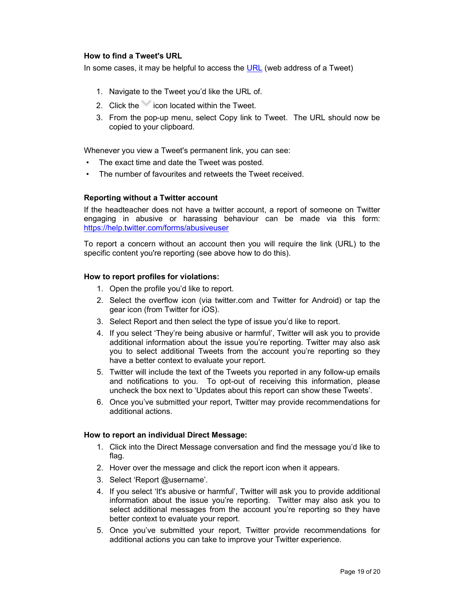#### How to find a Tweet's URL

In some cases, it may be helpful to access the URL (web address of a Tweet)

- 1. Navigate to the Tweet you'd like the URL of.
- 2. Click the icon located within the Tweet.
- 3. From the pop-up menu, select Copy link to Tweet. The URL should now be copied to your clipboard.

Whenever you view a Tweet's permanent link, you can see:

- The exact time and date the Tweet was posted.
- The number of favourites and retweets the Tweet received.

#### Reporting without a Twitter account

If the headteacher does not have a twitter account, a report of someone on Twitter engaging in abusive or harassing behaviour can be made via this form: https://help.twitter.com/forms/abusiveuser

To report a concern without an account then you will require the link (URL) to the specific content you're reporting (see above how to do this).

#### How to report profiles for violations:

- 1. Open the profile you'd like to report.
- 2. Select the overflow icon (via twitter.com and Twitter for Android) or tap the gear icon (from Twitter for iOS).
- 3. Select Report and then select the type of issue you'd like to report.
- 4. If you select 'They're being abusive or harmful', Twitter will ask you to provide additional information about the issue you're reporting. Twitter may also ask you to select additional Tweets from the account you're reporting so they have a better context to evaluate your report.
- 5. Twitter will include the text of the Tweets you reported in any follow-up emails and notifications to you. To opt-out of receiving this information, please uncheck the box next to 'Updates about this report can show these Tweets'.
- 6. Once you've submitted your report, Twitter may provide recommendations for additional actions.

#### How to report an individual Direct Message:

- 1. Click into the Direct Message conversation and find the message you'd like to flag.
- 2. Hover over the message and click the report icon when it appears.
- 3. Select 'Report @username'.
- 4. If you select 'It's abusive or harmful', Twitter will ask you to provide additional information about the issue you're reporting. Twitter may also ask you to select additional messages from the account you're reporting so they have better context to evaluate your report.
- 5. Once you've submitted your report, Twitter provide recommendations for additional actions you can take to improve your Twitter experience.